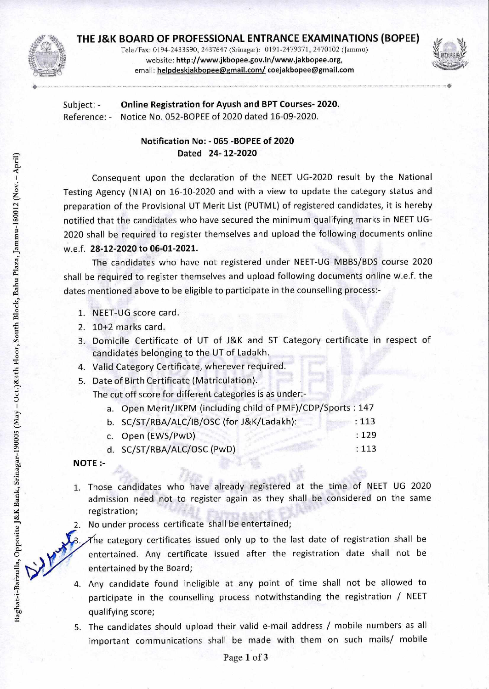

Tele/Fax: 0194-2433590, 2437647 (Srinagar): 0191-2479371, 2470102 (Jammu) website: http://www.jkbopee.gov.in/wwwjakbopee.org, email: helpdeskjakbopee@gmail.com/coejakbopee@gmail.com



Subject: - **Online Registration for Ayush and BPT Courses- 2020.**  Reference: - Notice No. 052-BOPEE of 2020 dated 16-09-2020.

## **Notification No: - 065 -BOPEE of 2020 Dated 24- 12-2020**

Consequent upon the declaration of the NEET UG-2020 result by the National Testing Agency (NTA) on 16-10-2020 and with a view to update the category status and preparation of the Provisional UT Merit List (PUTML) of registered candidates, it is hereby notified that the candidates who have secured the minimum qualifying marks in NEET UG-2020 shall be required to register themselves and upload the following documents online w.e.f. **28-12-2020 to 06-01-2021.** 

The candidates who have not registered under NEET-UG MBBS/BDS course 2020 shall be required to register themselves and upload following documents online w.e.f. the dates mentioned above to be eligible to participate in the counselling process:-

- 1. NEET-UG score card.
- 2. 10+2 marks card.
- 3. Domicile Certificate of UT of J&K and ST Category certificate in respect of candidates belonging to the UT of Ladakh.
- 4. Valid Category Certificate, wherever required.
- 5. Date of Birth Certificate (Matriculation).

The cut off score for different categories is as under:-

a. Open Merit/JKPM (including child of PMF)/CDP/Sports : 147

| b. SC/ST/RBA/ALC/IB/OSC (for J&K/Ladakh): | : 113 |
|-------------------------------------------|-------|
| c. Open (EWS/PwD)                         | :129  |
| d. SC/ST/RBA/ALC/OSC (PwD)                | : 113 |

**NOTE :-** 

- 1. Those candidates who have already registered at the time of NEET UG 2020 admission need not to register again as they shall be considered on the same registration;
- 2. No under process certificate shall be entertained;
- The category certificates issued only up to the last date of registration shall be entertained. Any certificate issued after the registration date shall not be entertained by the Board;
- 4. Any candidate found ineligible at any point of time shall not be allowed to participate in the counselling process notwithstanding the registration / NEET qualifying score;
- 5. The candidates should upload their valid e-mail address / mobile numbers as all important communications shall be made with them on such mails/ mobile

ায়<br>জ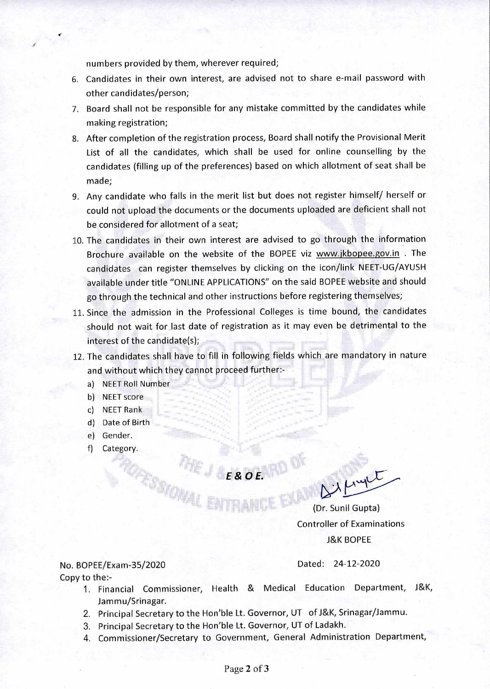numbers provided by them, wherever required;

- 6. Candidates in their own interest, are advised not to share e-mail password with other candidates/person;
- 7. Board shall not be responsible for any mistake committed by the candidates while making registration;
- 8. After completion of the registration process, Board shall notify the Provisional Merit List of all the candidates, which shall be used for online counselling by the candidates (filling up of the preferences) based on which allotment of seat shall be made;
- 9. Any candidate who falls in the merit list but does not register himself/ herself or could not upload the documents or the documents uploaded are deficient shall not be considered for allotment of a seat;
- 10. The candidates in their own interest are advised to go through the information Brochure available on the website of the BOPEE viz www.jkbopee.gov.in . The candidates can register themselves by clicking on the icon/link NEET-UG/AYUSH available under title "ONLINE APPLICATIONS" on the said BOPEE website and should go through the technical and other instructions before registering themselves;
- 11. Since the admission in the Professional Colleges is time bound, the candidates should not wait for last date of registration as it may even be detrimental to the interest of the candidate(s);
- 12. The candidates shall have to fill in following fields which are mandatory in nature and without which they cannot proceed further:
	- a) NEET Roll Number
	- b) NEET score
	- c) NEET Rank
	- d) Date of Birth
	- e) Gender.
	- f) Category.

*Exot.* 

 $\Delta\lambda\mu$ upt

(Dr. Sunil Gupta) Controller of Examinations J&K BOPEE

## No. BOPEE/Exam-35/2020 Dated: 24-12-2020 Copy to the:-

- 1. Financial Commissioner, Health & Medical Education Department, J&K, Jammu/Srinagar.
- 2. Principal Secretary to the Hon'ble Lt. Governor, UT ofJ&K, Srinagar/Jammu.
- 3. Principal Secretary to the Hon'ble Lt. Governor, UT of Ladakh.
- 4. Commissioner/Secretary to Government, General Administration Department,